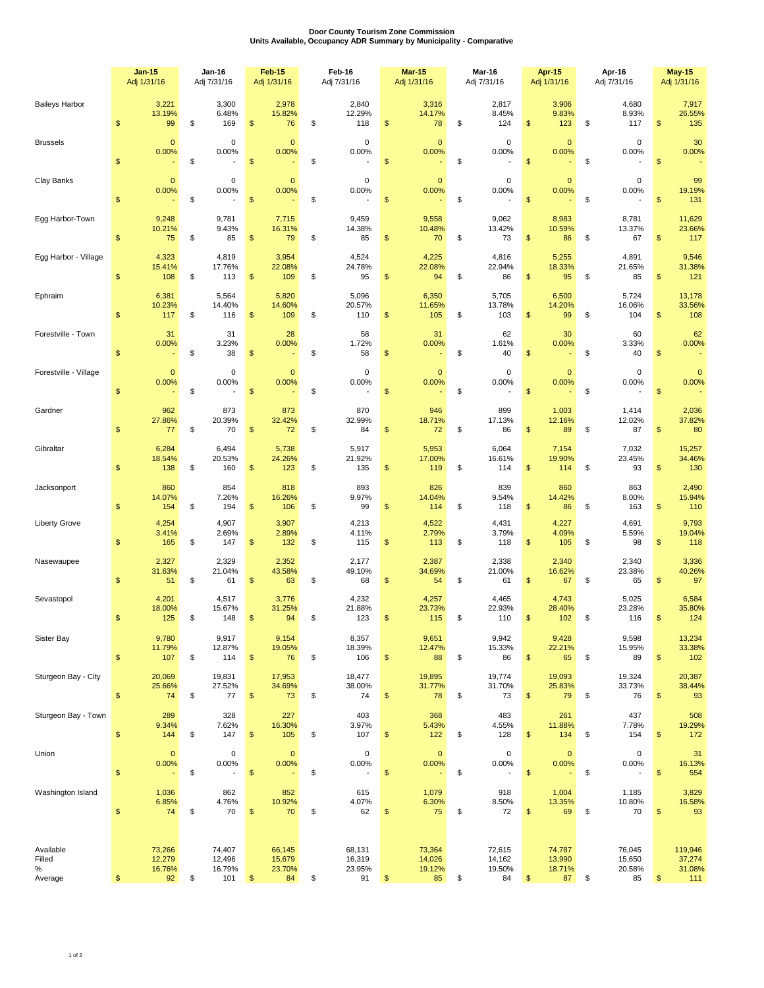## **Door County Tourism Zone Commission Units Available, Occupancy ADR Summary by Municipality - Comparative**

|                                        |                | <b>Jan-15</b><br>Adj 1/31/16     | <b>Jan-16</b><br>Adj 7/31/16 |                                   | Feb-15<br>Adj 1/31/16                             | Feb-16<br>Adj 7/31/16 |                                      | <b>Mar-15</b><br>Adj 1/31/16 |                                  | Mar-16<br>Adj 7/31/16 |                                  | Apr-15<br>Adj 1/31/16   |                                  | Apr-16<br>Adj 7/31/16 |                                                  | <b>May-15</b><br>Adj 1/31/16 |                                    |
|----------------------------------------|----------------|----------------------------------|------------------------------|-----------------------------------|---------------------------------------------------|-----------------------|--------------------------------------|------------------------------|----------------------------------|-----------------------|----------------------------------|-------------------------|----------------------------------|-----------------------|--------------------------------------------------|------------------------------|------------------------------------|
| <b>Baileys Harbor</b>                  | $\sqrt[6]{3}$  | 3,221<br>13.19%<br>99            | \$                           | 3,300<br>6.48%<br>169             | 2,978<br>15.82%<br>\$<br>76                       | \$                    | 2,840<br>12.29%<br>118               | \$                           | 3,316<br>14.17%<br>78            | \$                    | 2,817<br>8.45%<br>124            | \$                      | 3,906<br>9.83%<br>123            | \$                    | 4,680<br>8.93%<br>117                            | \$                           | 7,917<br>26.55%<br>135             |
| <b>Brussels</b>                        | $\sqrt[6]{3}$  | $\mathbf 0$<br>0.00%             | \$                           | 0<br>0.00%                        | $\mathbf{0}$<br>0.00%<br>\$                       | \$                    | $\pmb{0}$<br>0.00%                   | \$                           | $\mathbf{0}$<br>0.00%            | \$                    | $\mathbf 0$<br>0.00%             | $\frac{1}{2}$           | $\mathbf{0}$<br>0.00%            | \$                    | $\mathbf 0$<br>0.00%                             | \$                           | 30<br>0.00%                        |
| Clay Banks                             | \$             | $\mathbf 0$<br>0.00%             | \$                           | 0<br>0.00%                        | $\mathbf 0$<br>0.00%<br>\$                        | \$                    | $\mathbf 0$<br>0.00%                 | \$                           | $\mathbf 0$<br>0.00%             | \$                    | $\mathbf 0$<br>0.00%             | \$                      | $\mathbf 0$<br>0.00%             | \$                    | $\mathbf 0$<br>0.00%                             | \$                           | 99<br>19.19%<br>131                |
| Egg Harbor-Town                        | $\sqrt[6]{3}$  | 9,248<br>10.21%<br>75            | \$                           | 9,781<br>9.43%<br>85              | 7,715<br>16.31%<br>\$<br>79                       | \$                    | 9,459<br>14.38%<br>85                | \$                           | 9,558<br>10.48%<br>70            | \$                    | 9,062<br>13.42%<br>73            | $\frac{1}{2}$           | 8,983<br>10.59%<br>86            | \$                    | 8,781<br>13.37%<br>67                            | \$                           | 11,629<br>23.66%<br>117            |
| Egg Harbor - Village                   | \$             | 4,323<br>15.41%<br>108           | \$                           | 4,819<br>17.76%<br>113            | 3,954<br>22.08%<br>\$<br>109                      | \$                    | 4,524<br>24.78%<br>95                | \$                           | 4,225<br>22.08%<br>94            | \$                    | 4,816<br>22.94%<br>86            | \$                      | 5,255<br>18.33%<br>95            | \$                    | 4,891<br>21.65%<br>85                            | \$                           | 9,546<br>31.38%<br>121             |
| Ephraim                                | $\sqrt[6]{3}$  | 6,381<br>10.23%<br>117           | \$                           | 5,564<br>14.40%<br>116            | 5,820<br>14.60%<br>\$<br>109                      | \$                    | 5,096<br>20.57%<br>110               | \$                           | 6,350<br>11.65%<br>105           | \$                    | 5,705<br>13.78%<br>103           | \$                      | 6,500<br>14.20%<br>99            | \$                    | 5,724<br>16.06%<br>104                           | \$                           | 13,178<br>33.56%<br>108            |
| Forestville - Town                     | $\mathbb{S}$   | 31<br>0.00%                      | \$                           | 31<br>3.23%<br>38                 | 28<br>0.00%<br>\$                                 | \$                    | 58<br>1.72%<br>58                    | \$                           | 31<br>0.00%                      | \$                    | 62<br>1.61%<br>40                | \$                      | 30<br>0.00%                      | \$                    | 60<br>3.33%<br>40                                | \$                           | 62<br>0.00%                        |
| Forestville - Village                  | $\sqrt[6]{3}$  | $\pmb{0}$<br>0.00%               | \$                           | 0<br>0.00%                        | $\mathbf 0$<br>0.00%<br>\$                        | \$                    | $\pmb{0}$<br>0.00%                   | \$                           | $\mathbf 0$<br>0.00%             | \$                    | $\mathbf 0$<br>0.00%             | $\mathsf{\$}$           | $\mathbf 0$<br>0.00%             | \$                    | $\pmb{0}$<br>0.00%<br>$\overline{\phantom{a}}$   | \$                           | $\mathbf{0}$<br>0.00%              |
| Gardner                                | \$             | 962<br>27.86%<br>77              | \$                           | 873<br>20.39%<br>70               | 873<br>32.42%<br>\$<br>72                         | \$                    | 870<br>32.99%<br>84                  | \$                           | 946<br>18.71%<br>72              | \$                    | 899<br>17.13%<br>86              | \$                      | 1,003<br>12.16%<br>89            | \$                    | 1,414<br>12.02%<br>87                            | \$                           | 2,036<br>37.82%<br>80              |
| Gibraltar                              | $\mathbb{S}$   | 6,284<br>18.54%<br>138           | \$                           | 6,494<br>20.53%<br>160            | 5,738<br>24.26%<br>\$<br>123                      | \$                    | 5,917<br>21.92%<br>135               | \$                           | 5,953<br>17.00%<br>119           | \$                    | 6,064<br>16.61%<br>114           | \$                      | 7,154<br>19.90%<br>114           | \$                    | 7,032<br>23.45%<br>93                            | \$                           | 15,257<br>34.46%<br>130            |
| Jacksonport                            | $\frac{1}{2}$  | 860<br>14.07%<br>154             | \$                           | 854<br>7.26%<br>194               | 818<br>16.26%<br>\$<br>106                        | \$                    | 893<br>9.97%<br>99                   | \$                           | 826<br>14.04%<br>114             | \$                    | 839<br>9.54%<br>118              | \$                      | 860<br>14.42%<br>86              | \$                    | 863<br>8.00%<br>163                              | \$                           | 2,490<br>15.94%<br>110             |
| <b>Liberty Grove</b>                   | $\sqrt[6]{3}$  | 4,254<br>3.41%<br>165            | \$                           | 4,907<br>2.69%<br>147             | 3,907<br>2.89%<br>\$<br>132                       | \$                    | 4,213<br>4.11%<br>115                | \$                           | 4,522<br>2.79%<br>113            | \$                    | 4,431<br>3.79%<br>118            | \$                      | 4,227<br>4.09%<br>105            | \$                    | 4,691<br>5.59%<br>98                             | \$                           | 9,793<br>19.04%<br>118             |
| Nasewaupee                             | \$             | 2,327<br>31.63%<br>51            | \$                           | 2,329<br>21.04%<br>61             | 2,352<br>43.58%<br>\$<br>63                       | \$                    | 2,177<br>49.10%<br>68                | \$                           | 2,387<br>34.69%<br>54            | \$                    | 2,338<br>21.00%<br>61            | \$                      | 2,340<br>16.62%<br>67            | \$                    | 2,340<br>23.38%<br>65                            | \$                           | 3,336<br>40.26%<br>97              |
| Sevastopol                             | $\mathfrak{s}$ | 4,201<br>18.00%<br>125           | \$                           | 4,517<br>15.67%<br>148            | 3,776<br>31.25%<br>\$<br>94                       | \$                    | 4,232<br>21.88%<br>123               | \$                           | 4,257<br>23.73%<br>115           | \$                    | 4,465<br>22.93%<br>110           | \$                      | 4,743<br>28.40%<br>102           | \$                    | 5,025<br>23.28%<br>116                           | \$                           | 6,584<br>35.80%<br>124             |
| Sister Bay                             | $\mathbb{S}$   | 9,780<br>11.79%<br>107           | \$                           | 9,917<br>12.87%<br>114            | 9,154<br>19.05%<br>$\,$<br>76                     | \$                    | 8,357<br>18.39%<br>106               | \$                           | 9,651<br>12.47%<br>88            | \$                    | 9,942<br>15.33%<br>86            | \$                      | 9,428<br>22.21%<br>65            | \$                    | 9,598<br>15.95%<br>89                            | \$                           | 13,234<br>33.38%<br>102            |
| Sturgeon Bay - City                    | $\mathbb{S}$   | 20,069<br>25.66%<br>74           | \$                           | 19,831<br>27.52%<br>77            | 17,953<br>34.69%<br>$\sqrt{2}$<br>73              | \$                    | 18,477<br>38.00%<br>74               | \$                           | 19,895<br>31.77%<br>78           | \$                    | 19,774<br>31.70%<br>73           | $\sqrt[6]{\frac{1}{2}}$ | 19,093<br>25.83%<br>79           | \$                    | 19,324<br>33.73%<br>76                           | \$                           | 20,387<br>38.44%<br>93             |
| Sturgeon Bay - Town                    | $\mathbb{S}$   | 289<br>9.34%<br>144              | \$                           | 328<br>7.62%<br>147               | 227<br>16.30%<br>\$<br>105                        | \$                    | 403<br>3.97%<br>107                  | \$                           | 368<br>5.43%<br>122              | \$                    | 483<br>4.55%<br>128              | $\sqrt[6]{\frac{1}{2}}$ | 261<br>11.88%<br>134             | \$                    | 437<br>7.78%<br>154                              | \$                           | 508<br>19.29%<br>172               |
| Union                                  | $\mathbb{S}$   | $\mathbf 0$<br>0.00%             | \$                           | $\pmb{0}$<br>0.00%                | $\pmb{0}$<br>0.00%<br>\$                          | \$                    | $\pmb{0}$<br>0.00%<br>$\overline{a}$ | \$                           | $\mathbf 0$<br>0.00%             | \$                    | $\mathsf 0$<br>0.00%<br>÷        | $\frac{1}{2}$           | $\pmb{0}$<br>0.00%               | \$                    | $\mathsf 0$<br>0.00%<br>$\overline{\phantom{a}}$ | \$                           | 31<br>16.13%<br>554                |
| Washington Island                      | $\mathbb{S}$   | 1,036<br>6.85%<br>74             | \$                           | 862<br>4.76%<br>70                | 852<br>10.92%<br>\$<br>70                         | \$                    | 615<br>4.07%<br>62                   | \$                           | 1,079<br>6.30%<br>75             | \$                    | 918<br>8.50%<br>72               | \$                      | 1,004<br>13.35%<br>69            | \$                    | 1,185<br>10.80%<br>70                            | \$                           | 3,829<br>16.58%<br>93              |
| Available<br>Filled<br>$\%$<br>Average | \$             | 73,266<br>12,279<br>16.76%<br>92 | \$                           | 74,407<br>12,496<br>16.79%<br>101 | 66,145<br>15,679<br>23.70%<br>$\frac{1}{2}$<br>84 | \$                    | 68,131<br>16,319<br>23.95%<br>91     | \$                           | 73,364<br>14,026<br>19.12%<br>85 | \$                    | 72,615<br>14,162<br>19.50%<br>84 | \$                      | 74,787<br>13,990<br>18.71%<br>87 | \$                    | 76,045<br>15,650<br>20.58%<br>85                 | \$                           | 119,946<br>37,274<br>31.08%<br>111 |